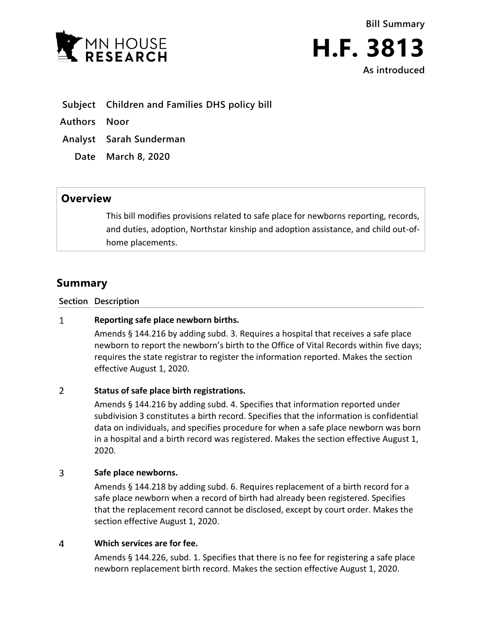



**Subject Children and Families DHS policy bill**

**Authors Noor**

**Analyst Sarah Sunderman**

**Date March 8, 2020**

# **Overview**

This bill modifies provisions related to safe place for newborns reporting, records, and duties, adoption, Northstar kinship and adoption assistance, and child out-ofhome placements.

# **Summary**

**Section Description**

### $\mathbf{1}$ **Reporting safe place newborn births.**

Amends § 144.216 by adding subd. 3. Requires a hospital that receives a safe place newborn to report the newborn's birth to the Office of Vital Records within five days; requires the state registrar to register the information reported. Makes the section effective August 1, 2020.

# $\overline{2}$ **Status of safe place birth registrations.**

Amends § 144.216 by adding subd. 4. Specifies that information reported under subdivision 3 constitutes a birth record. Specifies that the information is confidential data on individuals, and specifies procedure for when a safe place newborn was born in a hospital and a birth record was registered. Makes the section effective August 1, 2020.

### $\overline{3}$ **Safe place newborns.**

Amends § 144.218 by adding subd. 6. Requires replacement of a birth record for a safe place newborn when a record of birth had already been registered. Specifies that the replacement record cannot be disclosed, except by court order. Makes the section effective August 1, 2020.

#### $\overline{4}$ **Which services are for fee.**

Amends § 144.226, subd. 1. Specifies that there is no fee for registering a safe place newborn replacement birth record. Makes the section effective August 1, 2020.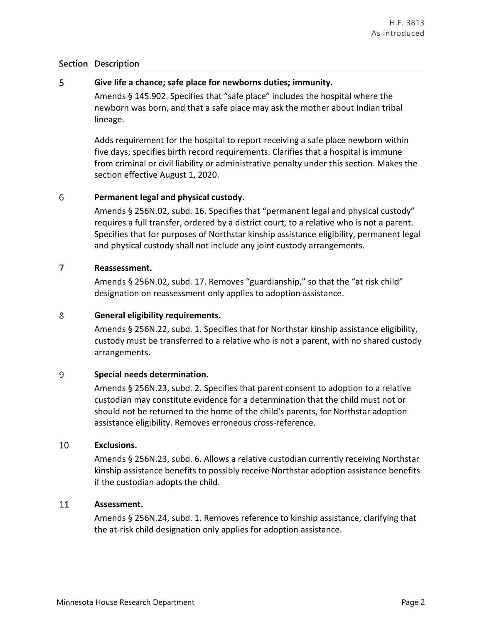# 5 **Give life a chance; safe place for newborns duties; immunity.**

Amends § 145.902. Specifies that "safe place" includes the hospital where the newborn was born, and that a safe place may ask the mother about Indian tribal lineage.

Adds requirement for the hospital to report receiving a safe place newborn within five days; specifies birth record requirements. Clarifies that a hospital is immune from criminal or civil liability or administrative penalty under this section. Makes the section effective August 1, 2020.

# 6 **Permanent legal and physical custody.**

Amends § 256N.02, subd. 16. Specifies that "permanent legal and physical custody" requires a full transfer, ordered by a district court, to a relative who is not a parent. Specifies that for purposes of Northstar kinship assistance eligibility, permanent legal and physical custody shall not include any joint custody arrangements.

### $\overline{7}$ **Reassessment.**

Amends § 256N.02, subd. 17. Removes "guardianship," so that the "at risk child" designation on reassessment only applies to adoption assistance.

# 8 **General eligibility requirements.**

Amends § 256N.22, subd. 1. Specifies that for Northstar kinship assistance eligibility, custody must be transferred to a relative who is not a parent, with no shared custody arrangements.

# 9 **Special needs determination.**

Amends § 256N.23, subd. 2. Specifies that parent consent to adoption to a relative custodian may constitute evidence for a determination that the child must not or should not be returned to the home of the child's parents, for Northstar adoption assistance eligibility. Removes erroneous cross-reference.

### 10 **Exclusions.**

Amends § 256N.23, subd. 6. Allows a relative custodian currently receiving Northstar kinship assistance benefits to possibly receive Northstar adoption assistance benefits if the custodian adopts the child.

## 11 **Assessment.**

Amends § 256N.24, subd. 1. Removes reference to kinship assistance, clarifying that the at-risk child designation only applies for adoption assistance.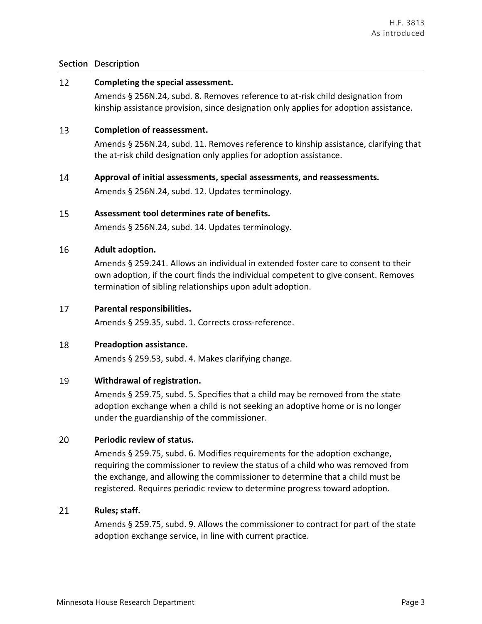## 12 **Completing the special assessment.**

Amends § 256N.24, subd. 8. Removes reference to at-risk child designation from kinship assistance provision, since designation only applies for adoption assistance.

### 13 **Completion of reassessment.**

Amends § 256N.24, subd. 11. Removes reference to kinship assistance, clarifying that the at-risk child designation only applies for adoption assistance.

#### 14 **Approval of initial assessments, special assessments, and reassessments.**

Amends § 256N.24, subd. 12. Updates terminology.

#### 15 **Assessment tool determines rate of benefits.**

Amends § 256N.24, subd. 14. Updates terminology.

#### 16 **Adult adoption.**

Amends § 259.241. Allows an individual in extended foster care to consent to their own adoption, if the court finds the individual competent to give consent. Removes termination of sibling relationships upon adult adoption.

### 17 **Parental responsibilities.**

Amends § 259.35, subd. 1. Corrects cross-reference.

### 18 **Preadoption assistance.**

Amends § 259.53, subd. 4. Makes clarifying change.

### 19 **Withdrawal of registration.**

Amends § 259.75, subd. 5. Specifies that a child may be removed from the state adoption exchange when a child is not seeking an adoptive home or is no longer under the guardianship of the commissioner.

### 20 **Periodic review of status.**

Amends § 259.75, subd. 6. Modifies requirements for the adoption exchange, requiring the commissioner to review the status of a child who was removed from the exchange, and allowing the commissioner to determine that a child must be registered. Requires periodic review to determine progress toward adoption.

### 21 **Rules; staff.**

Amends § 259.75, subd. 9. Allows the commissioner to contract for part of the state adoption exchange service, in line with current practice.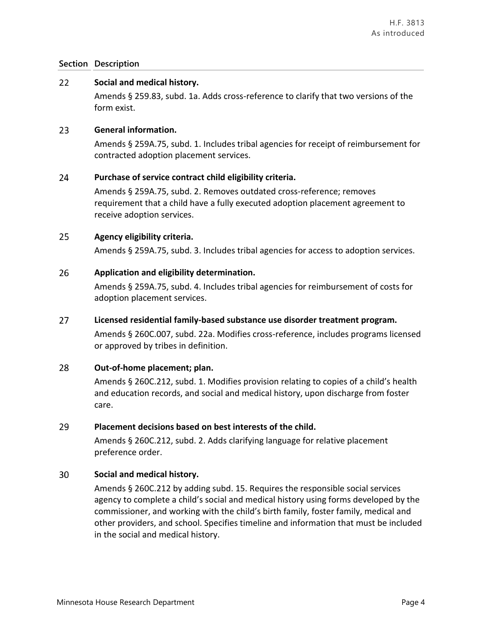## 22 **Social and medical history.**

Amends § 259.83, subd. 1a. Adds cross-reference to clarify that two versions of the form exist.

#### 23 **General information.**

Amends § 259A.75, subd. 1. Includes tribal agencies for receipt of reimbursement for contracted adoption placement services.

#### 24 **Purchase of service contract child eligibility criteria.**

Amends § 259A.75, subd. 2. Removes outdated cross-reference; removes requirement that a child have a fully executed adoption placement agreement to receive adoption services.

## 25 **Agency eligibility criteria.**

Amends § 259A.75, subd. 3. Includes tribal agencies for access to adoption services.

#### 26 **Application and eligibility determination.**

Amends § 259A.75, subd. 4. Includes tribal agencies for reimbursement of costs for adoption placement services.

### 27 **Licensed residential family-based substance use disorder treatment program.**

Amends § 260C.007, subd. 22a. Modifies cross-reference, includes programs licensed or approved by tribes in definition.

### 28 **Out-of-home placement; plan.**

Amends § 260C.212, subd. 1. Modifies provision relating to copies of a child's health and education records, and social and medical history, upon discharge from foster care.

#### 29 **Placement decisions based on best interests of the child.**

Amends § 260C.212, subd. 2. Adds clarifying language for relative placement preference order.

### 30 **Social and medical history.**

Amends § 260C.212 by adding subd. 15. Requires the responsible social services agency to complete a child's social and medical history using forms developed by the commissioner, and working with the child's birth family, foster family, medical and other providers, and school. Specifies timeline and information that must be included in the social and medical history.